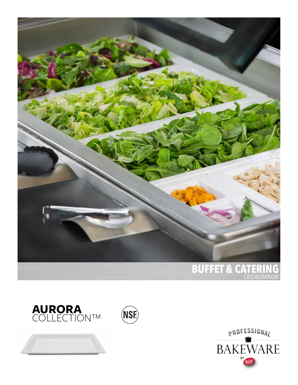





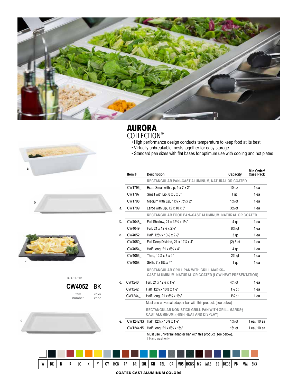







| TO ORDER:      |               |
|----------------|---------------|
| <b>CW4052</b>  | BK            |
| item<br>number | color<br>code |



## **AURORA**

- COLLECTION™<br>• High performance design conducts temperature to keep food at its best
	- Virtually unbreakable, nests together for easy storage
- Standard pan sizes with flat bases for optimum use with cooling and hot plates

| Item#           | <b>Description</b>                                                                                  | Capacity          | Min Order/<br><b>Case Pack</b> |
|-----------------|-----------------------------------------------------------------------------------------------------|-------------------|--------------------------------|
|                 | RECTANGULAR PAN-CAST ALUMINUM, NATURAL OR COATED                                                    |                   |                                |
| CW1796          | Extra Small with Lip, 5 x 7 x 2"                                                                    | 10 oz             | 1 ea                           |
| CW1797          | Small with Lip, 8 x 6 x 3"                                                                          | 1 at              | 1 ea                           |
| CW1798          | Medium with Lip. $11\frac{1}{4} \times 7\frac{1}{4} \times 2$ "                                     | $1\frac{1}{2}$ at | 1 ea                           |
| CW1799          | Large with Lip, $12 \times 10 \times 3$ "                                                           | $3\frac{1}{2}$ at | 1 ea                           |
|                 | RECTANGULAR FOOD PAN-CAST ALUMINUM, NATURAL OR COATED                                               |                   |                                |
| CW4048          | Full Shallow, 21 x 12% x 11/2"                                                                      | 4 gt              | 1 ea                           |
| CW4049          | Full. 21 x 12% x 2%"                                                                                | $8\frac{1}{2}$ at | 1 ea                           |
| CW4052          | Half. 12% x 10% x 2%"                                                                               | 3 at              | 1 ea                           |
| CW4050          | Full Deep Divided, 21 x 12% x 4"                                                                    | $(2)$ 5 gt        | 1 ea                           |
| CW4054          | Half Long, 21 x 6% x 4"                                                                             | 4 at              | 1 ea                           |
| CW4056          | Third. 12% x 7 x 4"                                                                                 | $2\frac{1}{2}$ qt | 1 ea                           |
| CW4058          | Sixth. 7 x 6% x 4"                                                                                  | 1 at              | 1 ea                           |
|                 | RECTANGULAR GRILL PAN WITH GRILL MARKS-<br>CAST ALUMINUM, NATURAL OR COATED (LOW HEAT PRESENTATION) |                   |                                |
| CW1240          | Full, 21 x 12% x 11/2"                                                                              | $4\%$ at          | 1 ea                           |
| CW1242          | Half, 12% x 10% x 1%"                                                                               | $1\frac{1}{2}$ at | 1 ea                           |
| CW1244          | Half Long, 21 x $6\frac{3}{2}$ x $1\frac{1}{2}$ "                                                   | $1\%$ qt          | 1 ea                           |
|                 | Must use universal adapter bar with this product. (see below)                                       |                   |                                |
|                 | RECTANGULAR NON-STICK GRILL PAN WITH GRILL MARKS†-<br>CAST ALUMINUM, (HIGH HEAT AND DISPLAY)        |                   |                                |
|                 | CW1242NS Half, 12% x 10% x 11/2"                                                                    | $1\frac{1}{2}$ at | 1 ea / 10 ea                   |
| <b>CW1244NS</b> | Half Long, 21 x 6% x 11/2"                                                                          | $1\%$ at          | 1 ea / 10 ea                   |
|                 | Must use universal adapter bar with this product (see below).                                       |                   |                                |

† Hand wash only

| W                                  | BK |  |  | LG |  | v | GY | HGN | CP | BR | SBL | GN | (BL | GR | <b>MBS</b> | <b>HGNS</b> MS | <b>MRS</b> | BS | <b>BKGS</b> | PB | <b>MM</b> | <b>SNX</b> |
|------------------------------------|----|--|--|----|--|---|----|-----|----|----|-----|----|-----|----|------------|----------------|------------|----|-------------|----|-----------|------------|
| <b>COATED CAST ALUMINUM COLORS</b> |    |  |  |    |  |   |    |     |    |    |     |    |     |    |            |                |            |    |             |    |           |            |